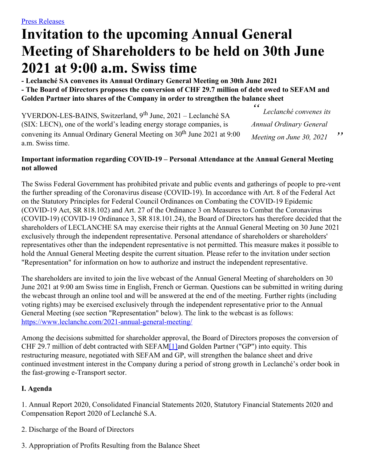# **Invitation to the upcoming Annual General Meeting of Shareholders to be held on 30th June 2021 at 9:00 a.m. Swiss time**

**- Leclanché SA convenes its Annual Ordinary General Meeting on 30th June 2021 - The Board of Directors proposes the conversion of CHF 29.7 million of debt owed to SEFAM and Golden Partner into shares of the Company in order to strengthen the balance sheet**

*" " Leclanché convenes its Annual Ordinary General Meeting on June 30, 2021* YVERDON-LES-BAINS, Switzerland, 9<sup>th</sup> June, 2021 – Leclanché SA (SIX: LECN), one of the world's leading energy storage companies, is convening its Annual Ordinary General Meeting on 30<sup>th</sup> June 2021 at 9:00 a.m. Swiss time.

### **Important information regarding COVID-19 – Personal Attendance at the Annual General Meeting not allowed**

The Swiss Federal Government has prohibited private and public events and gatherings of people to pre-vent the further spreading of the Coronavirus disease (COVID-19). In accordance with Art. 8 of the Federal Act on the Statutory Principles for Federal Council Ordinances on Combating the COVID-19 Epidemic (COVID-19 Act, SR 818.102) and Art. 27 of the Ordinance 3 on Measures to Combat the Coronavirus (COVID-19) (COVID-19 Ordinance 3, SR 818.101.24), the Board of Directors has therefore decided that the shareholders of LECLANCHE SA may exercise their rights at the Annual General Meeting on 30 June 2021 exclusively through the independent representative. Personal attendance of shareholders or shareholders' representatives other than the independent representative is not permitted. This measure makes it possible to hold the Annual General Meeting despite the current situation. Please refer to the invitation under section "Representation" for information on how to authorize and instruct the independent representative.

The shareholders are invited to join the live webcast of the Annual General Meeting of shareholders on 30 June 2021 at 9:00 am Swiss time in English, French or German. Questions can be submitted in writing during the webcast through an online tool and will be answered at the end of the meeting. Further rights (including voting rights) may be exercised exclusively through the independent representative prior to the Annual General Meeting (see section "Representation" below). The link to the webcast is as follows: <https://www.leclanche.com/2021-annual-general-meeting/>

<span id="page-0-0"></span>Among the decisions submitted for shareholder approval, the Board of Directors proposes the conversion of CHF 29.7 million of debt contracted with SEFA[M\[1\]](#page-1-0)and Golden Partner ("GP") into equity. This restructuring measure, negotiated with SEFAM and GP, will strengthen the balance sheet and drive continued investment interest in the Company during a period of strong growth in Leclanché's order book in the fast-growing e-Transport sector.

## **I. Agenda**

1. Annual Report 2020, Consolidated Financial Statements 2020, Statutory Financial Statements 2020 and Compensation Report 2020 of Leclanché S.A.

- 2. Discharge of the Board of Directors
- 3. Appropriation of Profits Resulting from the Balance Sheet